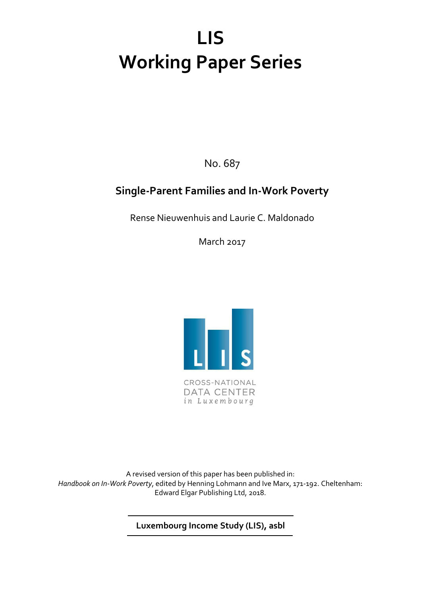# **LIS Working Paper Series**

No. 687

### **Single-Parent Families and In-Work Poverty**

Rense Nieuwenhuis and Laurie C. Maldonado

March 2017



CROSS-NATIONAL **DATA CENTER** in Luxembourg

A revised version of this paper has been published in: *Handbook on In-Work Poverty*, edited by Henning Lohmann and Ive Marx, 171-192. Cheltenham: Edward Elgar Publishing Ltd, 2018.

**Luxembourg Income Study (LIS), asbl**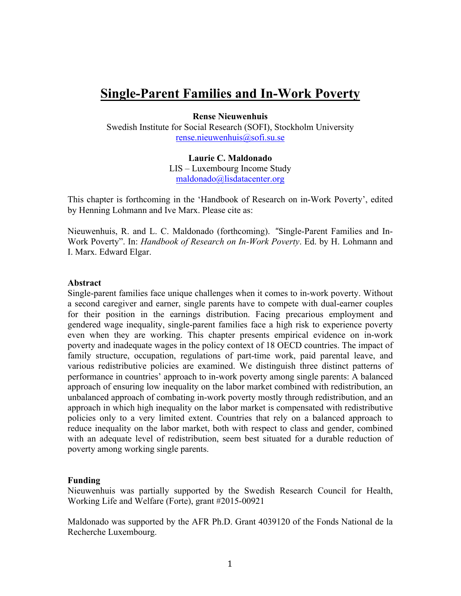### **Single-Parent Families and In-Work Poverty**

**Rense Nieuwenhuis**

Swedish Institute for Social Research (SOFI), Stockholm University rense.nieuwenhuis@sofi.su.se

**Laurie C. Maldonado**

LIS – Luxembourg Income Study maldonado@lisdatacenter.org

This chapter is forthcoming in the 'Handbook of Research on in-Work Poverty', edited by Henning Lohmann and Ive Marx. Please cite as:

Nieuwenhuis, R. and L. C. Maldonado (forthcoming). "Single-Parent Families and In-Work Poverty". In: *Handbook of Research on In-Work Poverty*. Ed. by H. Lohmann and I. Marx. Edward Elgar.

#### **Abstract**

Single-parent families face unique challenges when it comes to in-work poverty. Without a second caregiver and earner, single parents have to compete with dual-earner couples for their position in the earnings distribution. Facing precarious employment and gendered wage inequality, single-parent families face a high risk to experience poverty even when they are working. This chapter presents empirical evidence on in-work poverty and inadequate wages in the policy context of 18 OECD countries. The impact of family structure, occupation, regulations of part-time work, paid parental leave, and various redistributive policies are examined. We distinguish three distinct patterns of performance in countries' approach to in-work poverty among single parents: A balanced approach of ensuring low inequality on the labor market combined with redistribution, an unbalanced approach of combating in-work poverty mostly through redistribution, and an approach in which high inequality on the labor market is compensated with redistributive policies only to a very limited extent. Countries that rely on a balanced approach to reduce inequality on the labor market, both with respect to class and gender, combined with an adequate level of redistribution, seem best situated for a durable reduction of poverty among working single parents.

#### **Funding**

Nieuwenhuis was partially supported by the Swedish Research Council for Health, Working Life and Welfare (Forte), grant #2015-00921

Maldonado was supported by the AFR Ph.D. Grant 4039120 of the Fonds National de la Recherche Luxembourg.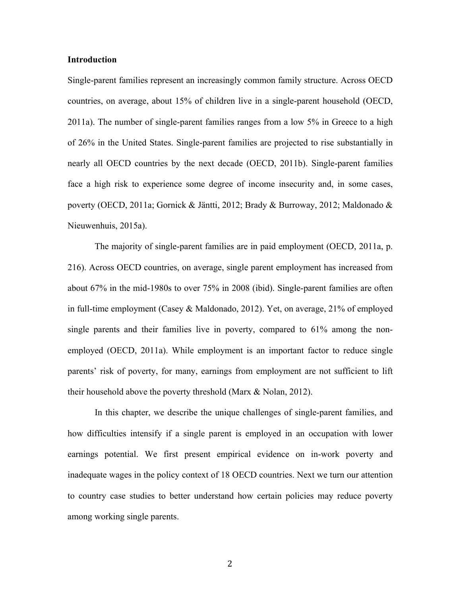#### **Introduction**

Single-parent families represent an increasingly common family structure. Across OECD countries, on average, about 15% of children live in a single-parent household (OECD, 2011a). The number of single-parent families ranges from a low 5% in Greece to a high of 26% in the United States. Single-parent families are projected to rise substantially in nearly all OECD countries by the next decade (OECD, 2011b). Single-parent families face a high risk to experience some degree of income insecurity and, in some cases, poverty (OECD, 2011a; Gornick & Jäntti, 2012; Brady & Burroway, 2012; Maldonado & Nieuwenhuis, 2015a).

The majority of single-parent families are in paid employment (OECD, 2011a, p. 216). Across OECD countries, on average, single parent employment has increased from about 67% in the mid-1980s to over 75% in 2008 (ibid). Single-parent families are often in full-time employment (Casey & Maldonado, 2012). Yet, on average, 21% of employed single parents and their families live in poverty, compared to 61% among the nonemployed (OECD, 2011a). While employment is an important factor to reduce single parents' risk of poverty, for many, earnings from employment are not sufficient to lift their household above the poverty threshold (Marx & Nolan, 2012).

In this chapter, we describe the unique challenges of single-parent families, and how difficulties intensify if a single parent is employed in an occupation with lower earnings potential. We first present empirical evidence on in-work poverty and inadequate wages in the policy context of 18 OECD countries. Next we turn our attention to country case studies to better understand how certain policies may reduce poverty among working single parents.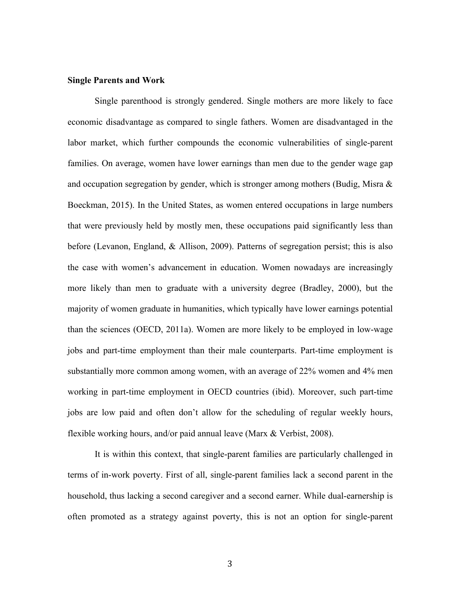#### **Single Parents and Work**

Single parenthood is strongly gendered. Single mothers are more likely to face economic disadvantage as compared to single fathers. Women are disadvantaged in the labor market, which further compounds the economic vulnerabilities of single-parent families. On average, women have lower earnings than men due to the gender wage gap and occupation segregation by gender, which is stronger among mothers (Budig, Misra  $\&$ Boeckman, 2015). In the United States, as women entered occupations in large numbers that were previously held by mostly men, these occupations paid significantly less than before (Levanon, England, & Allison, 2009). Patterns of segregation persist; this is also the case with women's advancement in education. Women nowadays are increasingly more likely than men to graduate with a university degree (Bradley, 2000), but the majority of women graduate in humanities, which typically have lower earnings potential than the sciences (OECD, 2011a). Women are more likely to be employed in low-wage jobs and part-time employment than their male counterparts. Part-time employment is substantially more common among women, with an average of 22% women and 4% men working in part-time employment in OECD countries (ibid). Moreover, such part-time jobs are low paid and often don't allow for the scheduling of regular weekly hours, flexible working hours, and/or paid annual leave (Marx & Verbist, 2008).

It is within this context, that single-parent families are particularly challenged in terms of in-work poverty. First of all, single-parent families lack a second parent in the household, thus lacking a second caregiver and a second earner. While dual-earnership is often promoted as a strategy against poverty, this is not an option for single-parent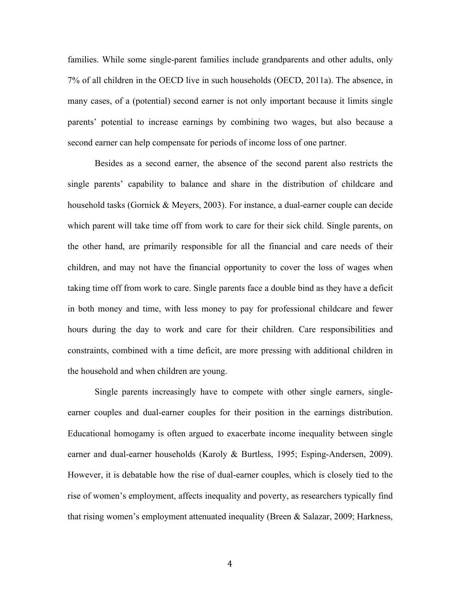families. While some single-parent families include grandparents and other adults, only 7% of all children in the OECD live in such households (OECD, 2011a). The absence, in many cases, of a (potential) second earner is not only important because it limits single parents' potential to increase earnings by combining two wages, but also because a second earner can help compensate for periods of income loss of one partner.

Besides as a second earner, the absence of the second parent also restricts the single parents' capability to balance and share in the distribution of childcare and household tasks (Gornick & Meyers, 2003). For instance, a dual-earner couple can decide which parent will take time off from work to care for their sick child. Single parents, on the other hand, are primarily responsible for all the financial and care needs of their children, and may not have the financial opportunity to cover the loss of wages when taking time off from work to care. Single parents face a double bind as they have a deficit in both money and time, with less money to pay for professional childcare and fewer hours during the day to work and care for their children. Care responsibilities and constraints, combined with a time deficit, are more pressing with additional children in the household and when children are young.

Single parents increasingly have to compete with other single earners, singleearner couples and dual-earner couples for their position in the earnings distribution. Educational homogamy is often argued to exacerbate income inequality between single earner and dual-earner households (Karoly & Burtless, 1995; Esping-Andersen, 2009). However, it is debatable how the rise of dual-earner couples, which is closely tied to the rise of women's employment, affects inequality and poverty, as researchers typically find that rising women's employment attenuated inequality (Breen & Salazar, 2009; Harkness,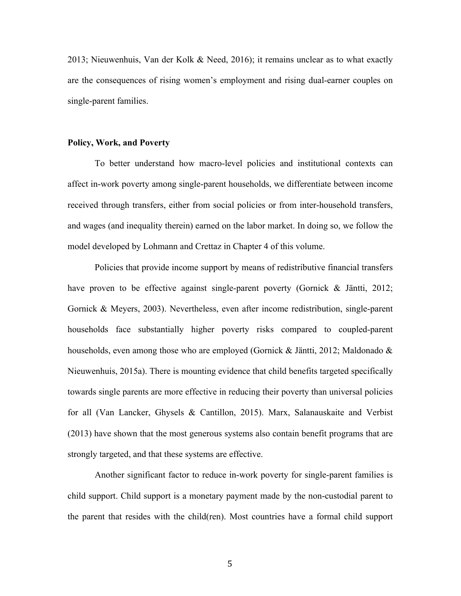2013; Nieuwenhuis, Van der Kolk & Need, 2016); it remains unclear as to what exactly are the consequences of rising women's employment and rising dual-earner couples on single-parent families.

#### **Policy, Work, and Poverty**

To better understand how macro-level policies and institutional contexts can affect in-work poverty among single-parent households, we differentiate between income received through transfers, either from social policies or from inter-household transfers, and wages (and inequality therein) earned on the labor market. In doing so, we follow the model developed by Lohmann and Crettaz in Chapter 4 of this volume.

Policies that provide income support by means of redistributive financial transfers have proven to be effective against single-parent poverty (Gornick & Jäntti, 2012; Gornick & Meyers, 2003). Nevertheless, even after income redistribution, single-parent households face substantially higher poverty risks compared to coupled-parent households, even among those who are employed (Gornick & Jäntti, 2012; Maldonado & Nieuwenhuis, 2015a). There is mounting evidence that child benefits targeted specifically towards single parents are more effective in reducing their poverty than universal policies for all (Van Lancker, Ghysels & Cantillon, 2015). Marx, Salanauskaite and Verbist (2013) have shown that the most generous systems also contain benefit programs that are strongly targeted, and that these systems are effective.

Another significant factor to reduce in-work poverty for single-parent families is child support. Child support is a monetary payment made by the non-custodial parent to the parent that resides with the child(ren). Most countries have a formal child support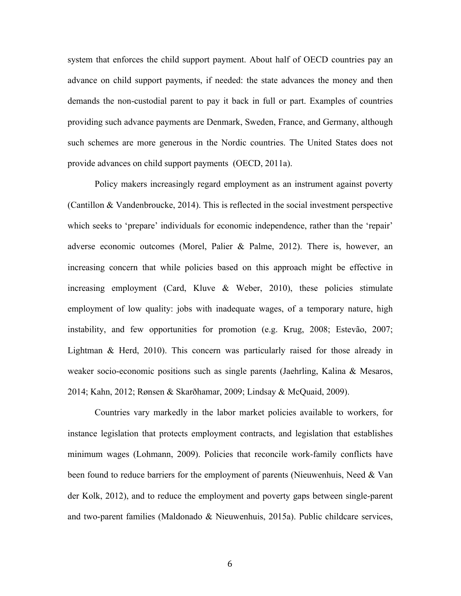system that enforces the child support payment. About half of OECD countries pay an advance on child support payments, if needed: the state advances the money and then demands the non-custodial parent to pay it back in full or part. Examples of countries providing such advance payments are Denmark, Sweden, France, and Germany, although such schemes are more generous in the Nordic countries. The United States does not provide advances on child support payments (OECD, 2011a).

Policy makers increasingly regard employment as an instrument against poverty (Cantillon & Vandenbroucke, 2014). This is reflected in the social investment perspective which seeks to 'prepare' individuals for economic independence, rather than the 'repair' adverse economic outcomes (Morel, Palier & Palme, 2012). There is, however, an increasing concern that while policies based on this approach might be effective in increasing employment (Card, Kluve  $\&$  Weber, 2010), these policies stimulate employment of low quality: jobs with inadequate wages, of a temporary nature, high instability, and few opportunities for promotion (e.g. Krug, 2008; Estevão, 2007; Lightman & Herd, 2010). This concern was particularly raised for those already in weaker socio-economic positions such as single parents (Jaehrling, Kalina & Mesaros, 2014; Kahn, 2012; Rønsen & Skarðhamar, 2009; Lindsay & McQuaid, 2009).

Countries vary markedly in the labor market policies available to workers, for instance legislation that protects employment contracts, and legislation that establishes minimum wages (Lohmann, 2009). Policies that reconcile work-family conflicts have been found to reduce barriers for the employment of parents (Nieuwenhuis, Need & Van der Kolk, 2012), and to reduce the employment and poverty gaps between single-parent and two-parent families (Maldonado & Nieuwenhuis, 2015a). Public childcare services,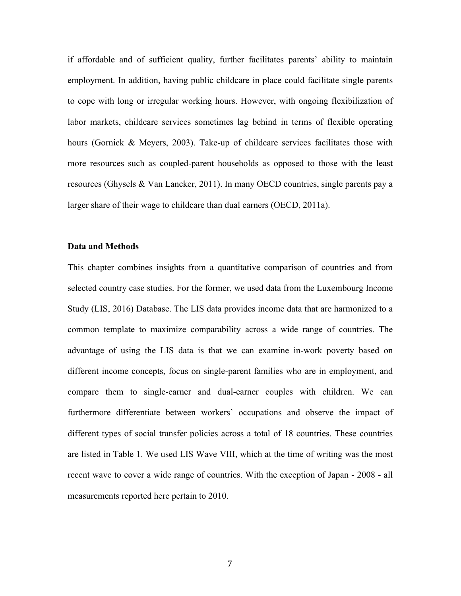if affordable and of sufficient quality, further facilitates parents' ability to maintain employment. In addition, having public childcare in place could facilitate single parents to cope with long or irregular working hours. However, with ongoing flexibilization of labor markets, childcare services sometimes lag behind in terms of flexible operating hours (Gornick & Meyers, 2003). Take-up of childcare services facilitates those with more resources such as coupled-parent households as opposed to those with the least resources (Ghysels & Van Lancker, 2011). In many OECD countries, single parents pay a larger share of their wage to childcare than dual earners (OECD, 2011a).

#### **Data and Methods**

This chapter combines insights from a quantitative comparison of countries and from selected country case studies. For the former, we used data from the Luxembourg Income Study (LIS, 2016) Database. The LIS data provides income data that are harmonized to a common template to maximize comparability across a wide range of countries. The advantage of using the LIS data is that we can examine in-work poverty based on different income concepts, focus on single-parent families who are in employment, and compare them to single-earner and dual-earner couples with children. We can furthermore differentiate between workers' occupations and observe the impact of different types of social transfer policies across a total of 18 countries. These countries are listed in Table 1. We used LIS Wave VIII, which at the time of writing was the most recent wave to cover a wide range of countries. With the exception of Japan - 2008 - all measurements reported here pertain to 2010.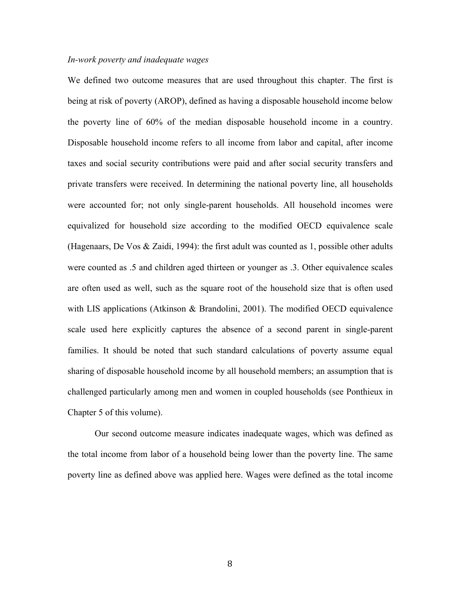#### *In-work poverty and inadequate wages*

We defined two outcome measures that are used throughout this chapter. The first is being at risk of poverty (AROP), defined as having a disposable household income below the poverty line of 60% of the median disposable household income in a country. Disposable household income refers to all income from labor and capital, after income taxes and social security contributions were paid and after social security transfers and private transfers were received. In determining the national poverty line, all households were accounted for; not only single-parent households. All household incomes were equivalized for household size according to the modified OECD equivalence scale (Hagenaars, De Vos & Zaidi, 1994): the first adult was counted as 1, possible other adults were counted as .5 and children aged thirteen or younger as .3. Other equivalence scales are often used as well, such as the square root of the household size that is often used with LIS applications (Atkinson & Brandolini, 2001). The modified OECD equivalence scale used here explicitly captures the absence of a second parent in single-parent families. It should be noted that such standard calculations of poverty assume equal sharing of disposable household income by all household members; an assumption that is challenged particularly among men and women in coupled households (see Ponthieux in Chapter 5 of this volume).

Our second outcome measure indicates inadequate wages, which was defined as the total income from labor of a household being lower than the poverty line. The same poverty line as defined above was applied here. Wages were defined as the total income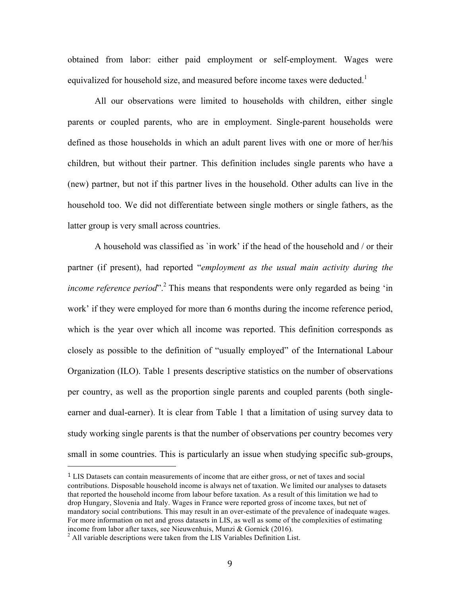obtained from labor: either paid employment or self-employment. Wages were equivalized for household size, and measured before income taxes were deducted.<sup>1</sup>

All our observations were limited to households with children, either single parents or coupled parents, who are in employment. Single-parent households were defined as those households in which an adult parent lives with one or more of her/his children, but without their partner. This definition includes single parents who have a (new) partner, but not if this partner lives in the household. Other adults can live in the household too. We did not differentiate between single mothers or single fathers, as the latter group is very small across countries.

A household was classified as `in work' if the head of the household and / or their partner (if present), had reported "*employment as the usual main activity during the income reference period*".<sup>2</sup> This means that respondents were only regarded as being 'in work' if they were employed for more than 6 months during the income reference period, which is the year over which all income was reported. This definition corresponds as closely as possible to the definition of "usually employed" of the International Labour Organization (ILO). Table 1 presents descriptive statistics on the number of observations per country, as well as the proportion single parents and coupled parents (both singleearner and dual-earner). It is clear from Table 1 that a limitation of using survey data to study working single parents is that the number of observations per country becomes very small in some countries. This is particularly an issue when studying specific sub-groups,

<sup>&</sup>lt;sup>1</sup> LIS Datasets can contain measurements of income that are either gross, or net of taxes and social contributions. Disposable household income is always net of taxation. We limited our analyses to datasets that reported the household income from labour before taxation. As a result of this limitation we had to drop Hungary, Slovenia and Italy. Wages in France were reported gross of income taxes, but net of mandatory social contributions. This may result in an over-estimate of the prevalence of inadequate wages. For more information on net and gross datasets in LIS, as well as some of the complexities of estimating income from labor after taxes, see Nieuwenhuis, Munzi & Gornick (2016).<br><sup>2</sup> All variable descriptions were taken from the LIS Variables Definition List.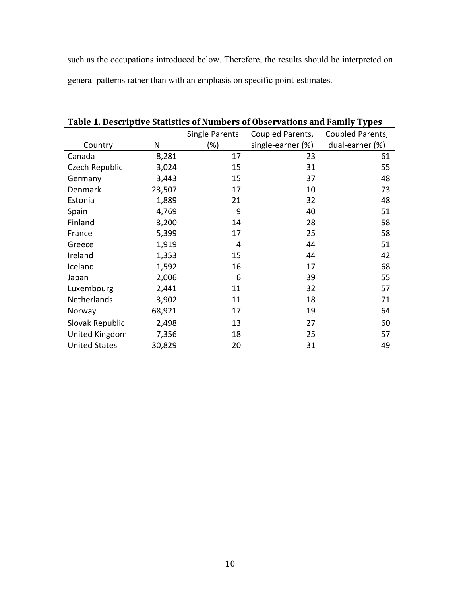such as the occupations introduced below. Therefore, the results should be interpreted on general patterns rather than with an emphasis on specific point-estimates.

|                      |        | <b>Single Parents</b> | Coupled Parents,  | Coupled Parents, |
|----------------------|--------|-----------------------|-------------------|------------------|
| Country              | N      | $(\%)$                | single-earner (%) | dual-earner (%)  |
| Canada               | 8,281  | 17                    | 23                | 61               |
| Czech Republic       | 3,024  | 15                    | 31                | 55               |
| Germany              | 3,443  | 15                    | 37                | 48               |
| Denmark              | 23,507 | 17                    | 10                | 73               |
| Estonia              | 1,889  | 21                    | 32                | 48               |
| Spain                | 4,769  | 9                     | 40                | 51               |
| Finland              | 3,200  | 14                    | 28                | 58               |
| France               | 5,399  | 17                    | 25                | 58               |
| Greece               | 1,919  | 4                     | 44                | 51               |
| Ireland              | 1,353  | 15                    | 44                | 42               |
| Iceland              | 1,592  | 16                    | 17                | 68               |
| Japan                | 2,006  | 6                     | 39                | 55               |
| Luxembourg           | 2,441  | 11                    | 32                | 57               |
| <b>Netherlands</b>   | 3,902  | 11                    | 18                | 71               |
| Norway               | 68,921 | 17                    | 19                | 64               |
| Slovak Republic      | 2,498  | 13                    | 27                | 60               |
| United Kingdom       | 7,356  | 18                    | 25                | 57               |
| <b>United States</b> | 30,829 | 20                    | 31                | 49               |

Table 1. Descriptive Statistics of Numbers of Observations and Family Types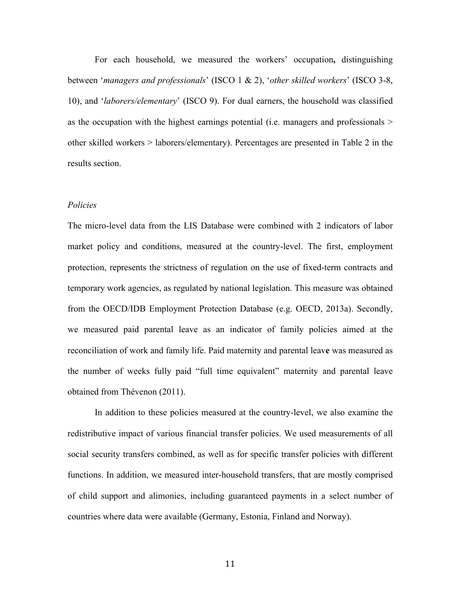For each household, we measured the workers' occupation**,** distinguishing between '*managers and professionals*' (ISCO 1 & 2), '*other skilled workers*' (ISCO 3-8, 10), and '*laborers/elementary*' (ISCO 9). For dual earners, the household was classified as the occupation with the highest earnings potential (i.e. managers and professionals > other skilled workers > laborers/elementary). Percentages are presented in Table 2 in the results section.

#### *Policies*

The micro-level data from the LIS Database were combined with 2 indicators of labor market policy and conditions, measured at the country-level. The first, employment protection, represents the strictness of regulation on the use of fixed-term contracts and temporary work agencies, as regulated by national legislation. This measure was obtained from the OECD/IDB Employment Protection Database (e.g. OECD, 2013a). Secondly, we measured paid parental leave as an indicator of family policies aimed at the reconciliation of work and family life. Paid maternity and parental leav**e** was measured as the number of weeks fully paid "full time equivalent" maternity and parental leave obtained from Thévenon (2011).

In addition to these policies measured at the country-level, we also examine the redistributive impact of various financial transfer policies. We used measurements of all social security transfers combined, as well as for specific transfer policies with different functions. In addition, we measured inter-household transfers, that are mostly comprised of child support and alimonies, including guaranteed payments in a select number of countries where data were available (Germany, Estonia, Finland and Norway).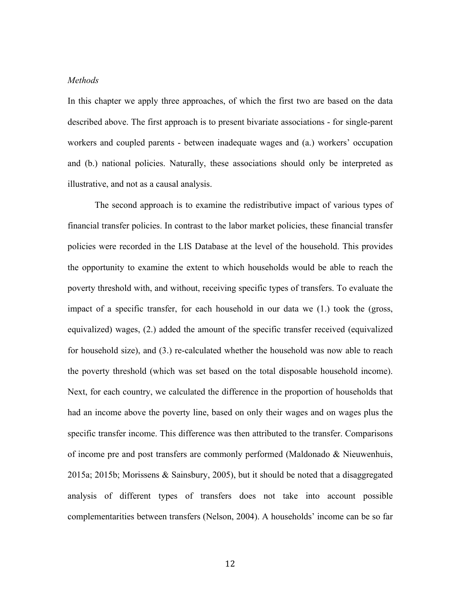#### *Methods*

In this chapter we apply three approaches, of which the first two are based on the data described above. The first approach is to present bivariate associations - for single-parent workers and coupled parents - between inadequate wages and (a.) workers' occupation and (b.) national policies. Naturally, these associations should only be interpreted as illustrative, and not as a causal analysis.

The second approach is to examine the redistributive impact of various types of financial transfer policies. In contrast to the labor market policies, these financial transfer policies were recorded in the LIS Database at the level of the household. This provides the opportunity to examine the extent to which households would be able to reach the poverty threshold with, and without, receiving specific types of transfers. To evaluate the impact of a specific transfer, for each household in our data we (1.) took the (gross, equivalized) wages, (2.) added the amount of the specific transfer received (equivalized for household size), and (3.) re-calculated whether the household was now able to reach the poverty threshold (which was set based on the total disposable household income). Next, for each country, we calculated the difference in the proportion of households that had an income above the poverty line, based on only their wages and on wages plus the specific transfer income. This difference was then attributed to the transfer. Comparisons of income pre and post transfers are commonly performed (Maldonado & Nieuwenhuis, 2015a; 2015b; Morissens & Sainsbury, 2005), but it should be noted that a disaggregated analysis of different types of transfers does not take into account possible complementarities between transfers (Nelson, 2004). A households' income can be so far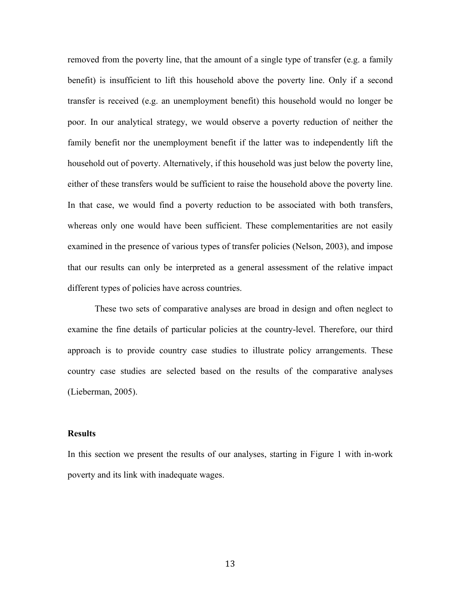removed from the poverty line, that the amount of a single type of transfer (e.g. a family benefit) is insufficient to lift this household above the poverty line. Only if a second transfer is received (e.g. an unemployment benefit) this household would no longer be poor. In our analytical strategy, we would observe a poverty reduction of neither the family benefit nor the unemployment benefit if the latter was to independently lift the household out of poverty. Alternatively, if this household was just below the poverty line, either of these transfers would be sufficient to raise the household above the poverty line. In that case, we would find a poverty reduction to be associated with both transfers, whereas only one would have been sufficient. These complementarities are not easily examined in the presence of various types of transfer policies (Nelson, 2003), and impose that our results can only be interpreted as a general assessment of the relative impact different types of policies have across countries.

These two sets of comparative analyses are broad in design and often neglect to examine the fine details of particular policies at the country-level. Therefore, our third approach is to provide country case studies to illustrate policy arrangements. These country case studies are selected based on the results of the comparative analyses (Lieberman, 2005).

#### **Results**

In this section we present the results of our analyses, starting in Figure 1 with in-work poverty and its link with inadequate wages.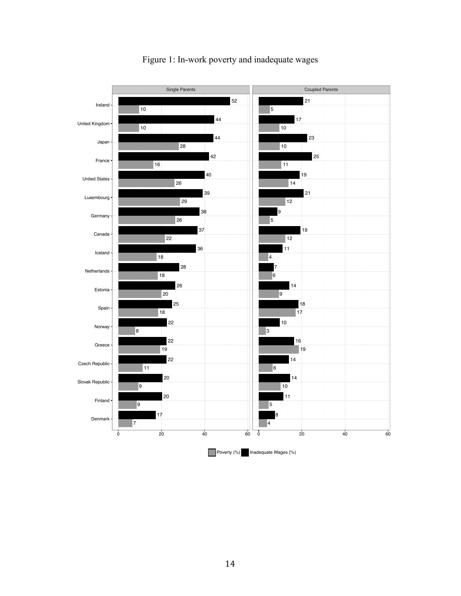

### Figure 1: In-work poverty and inadequate wages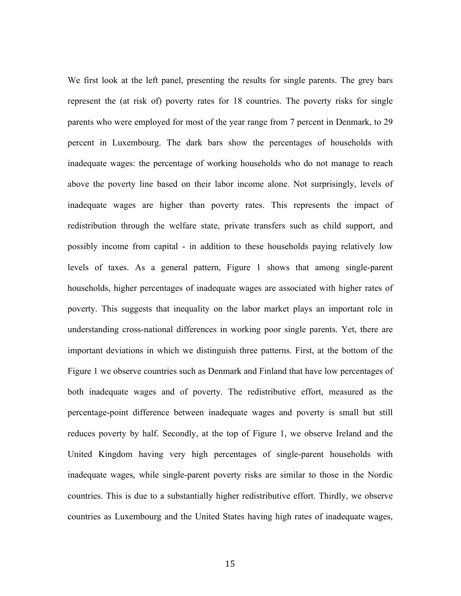We first look at the left panel, presenting the results for single parents. The grey bars represent the (at risk of) poverty rates for 18 countries. The poverty risks for single parents who were employed for most of the year range from 7 percent in Denmark, to 29 percent in Luxembourg. The dark bars show the percentages of households with inadequate wages: the percentage of working households who do not manage to reach above the poverty line based on their labor income alone. Not surprisingly, levels of inadequate wages are higher than poverty rates. This represents the impact of redistribution through the welfare state, private transfers such as child support, and possibly income from capital - in addition to these households paying relatively low levels of taxes. As a general pattern, Figure 1 shows that among single-parent households, higher percentages of inadequate wages are associated with higher rates of poverty. This suggests that inequality on the labor market plays an important role in understanding cross-national differences in working poor single parents. Yet, there are important deviations in which we distinguish three patterns. First, at the bottom of the Figure 1 we observe countries such as Denmark and Finland that have low percentages of both inadequate wages and of poverty. The redistributive effort, measured as the percentage-point difference between inadequate wages and poverty is small but still reduces poverty by half. Secondly, at the top of Figure 1, we observe Ireland and the United Kingdom having very high percentages of single-parent households with inadequate wages, while single-parent poverty risks are similar to those in the Nordic countries. This is due to a substantially higher redistributive effort. Thirdly, we observe countries as Luxembourg and the United States having high rates of inadequate wages,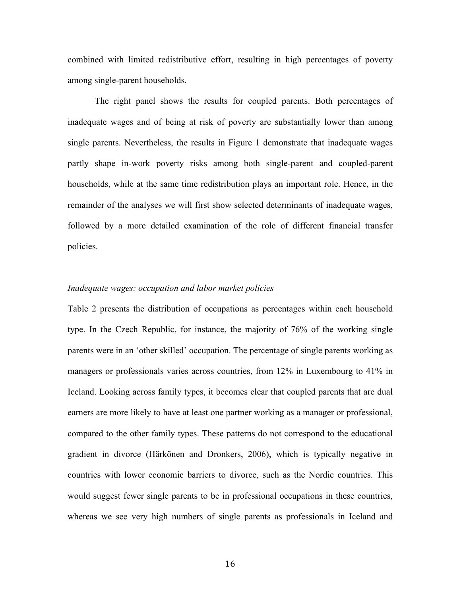combined with limited redistributive effort, resulting in high percentages of poverty among single-parent households.

The right panel shows the results for coupled parents. Both percentages of inadequate wages and of being at risk of poverty are substantially lower than among single parents. Nevertheless, the results in Figure 1 demonstrate that inadequate wages partly shape in-work poverty risks among both single-parent and coupled-parent households, while at the same time redistribution plays an important role. Hence, in the remainder of the analyses we will first show selected determinants of inadequate wages, followed by a more detailed examination of the role of different financial transfer policies.

#### *Inadequate wages: occupation and labor market policies*

Table 2 presents the distribution of occupations as percentages within each household type. In the Czech Republic, for instance, the majority of 76% of the working single parents were in an 'other skilled' occupation. The percentage of single parents working as managers or professionals varies across countries, from 12% in Luxembourg to 41% in Iceland. Looking across family types, it becomes clear that coupled parents that are dual earners are more likely to have at least one partner working as a manager or professional, compared to the other family types. These patterns do not correspond to the educational gradient in divorce (Härkönen and Dronkers, 2006), which is typically negative in countries with lower economic barriers to divorce, such as the Nordic countries. This would suggest fewer single parents to be in professional occupations in these countries, whereas we see very high numbers of single parents as professionals in Iceland and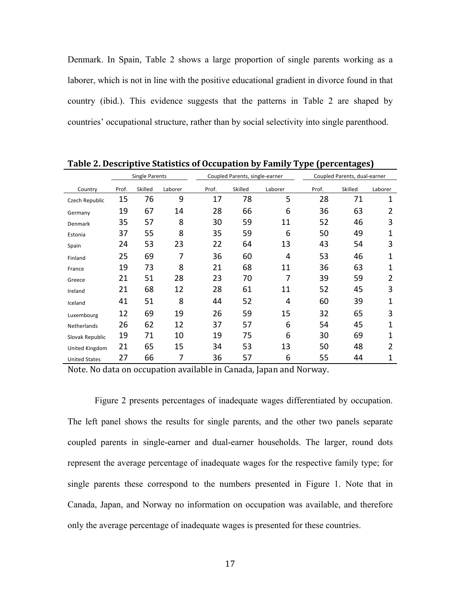Denmark. In Spain, Table 2 shows a large proportion of single parents working as a laborer, which is not in line with the positive educational gradient in divorce found in that country (ibid.). This evidence suggests that the patterns in Table 2 are shaped by countries' occupational structure, rather than by social selectivity into single parenthood.

|                      |                       |         |         |       |                                |         | JI<br>Æ | ο                            |         |  |
|----------------------|-----------------------|---------|---------|-------|--------------------------------|---------|---------|------------------------------|---------|--|
|                      | <b>Single Parents</b> |         |         |       | Coupled Parents, single-earner |         |         | Coupled Parents, dual-earner |         |  |
| Country              | Prof.                 | Skilled | Laborer | Prof. | Skilled                        | Laborer | Prof.   | Skilled                      | Laborer |  |
| Czech Republic       | 15                    | 76      | 9       | 17    | 78                             | 5       | 28      | 71                           | 1       |  |
| Germany              | 19                    | 67      | 14      | 28    | 66                             | 6       | 36      | 63                           | 2       |  |
| Denmark              | 35                    | 57      | 8       | 30    | 59                             | 11      | 52      | 46                           | 3       |  |
| Estonia              | 37                    | 55      | 8       | 35    | 59                             | 6       | 50      | 49                           | 1       |  |
| Spain                | 24                    | 53      | 23      | 22    | 64                             | 13      | 43      | 54                           | 3       |  |
| Finland              | 25                    | 69      | 7       | 36    | 60                             | 4       | 53      | 46                           | 1       |  |
| France               | 19                    | 73      | 8       | 21    | 68                             | 11      | 36      | 63                           | 1       |  |
| Greece               | 21                    | 51      | 28      | 23    | 70                             | 7       | 39      | 59                           | 2       |  |
| Ireland              | 21                    | 68      | 12      | 28    | 61                             | 11      | 52      | 45                           | 3       |  |
| Iceland              | 41                    | 51      | 8       | 44    | 52                             | 4       | 60      | 39                           | 1       |  |
| Luxembourg           | 12                    | 69      | 19      | 26    | 59                             | 15      | 32      | 65                           | 3       |  |
| <b>Netherlands</b>   | 26                    | 62      | 12      | 37    | 57                             | 6       | 54      | 45                           | 1       |  |
| Slovak Republic      | 19                    | 71      | 10      | 19    | 75                             | 6       | 30      | 69                           | 1       |  |
| United Kingdom       | 21                    | 65      | 15      | 34    | 53                             | 13      | 50      | 48                           | 2       |  |
| <b>United States</b> | 27                    | 66      | 7       | 36    | 57                             | 6       | 55      | 44                           | 1       |  |

**Table 2. Descriptive Statistics of Occupation by Family Type (percentages)** 

Note. No data on occupation available in Canada, Japan and Norway.

Figure 2 presents percentages of inadequate wages differentiated by occupation. The left panel shows the results for single parents, and the other two panels separate coupled parents in single-earner and dual-earner households. The larger, round dots represent the average percentage of inadequate wages for the respective family type; for single parents these correspond to the numbers presented in Figure 1. Note that in Canada, Japan, and Norway no information on occupation was available, and therefore only the average percentage of inadequate wages is presented for these countries.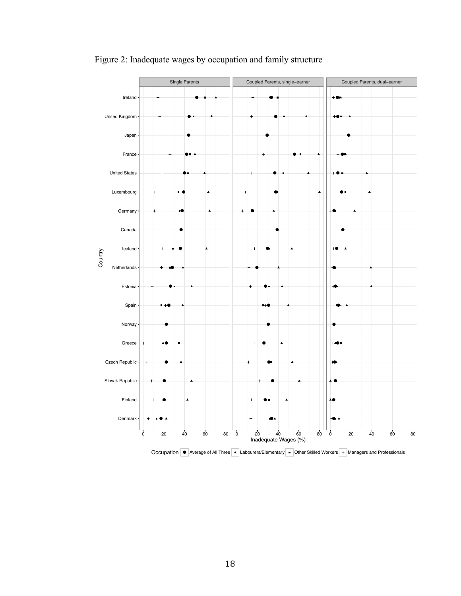

Figure 2: Inadequate wages by occupation and family structure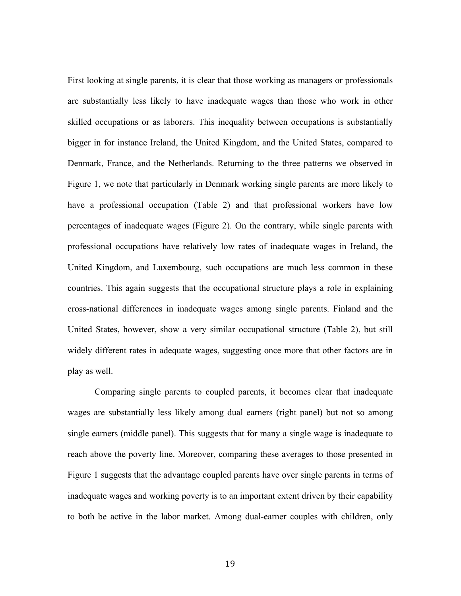First looking at single parents, it is clear that those working as managers or professionals are substantially less likely to have inadequate wages than those who work in other skilled occupations or as laborers. This inequality between occupations is substantially bigger in for instance Ireland, the United Kingdom, and the United States, compared to Denmark, France, and the Netherlands. Returning to the three patterns we observed in Figure 1, we note that particularly in Denmark working single parents are more likely to have a professional occupation (Table 2) and that professional workers have low percentages of inadequate wages (Figure 2). On the contrary, while single parents with professional occupations have relatively low rates of inadequate wages in Ireland, the United Kingdom, and Luxembourg, such occupations are much less common in these countries. This again suggests that the occupational structure plays a role in explaining cross-national differences in inadequate wages among single parents. Finland and the United States, however, show a very similar occupational structure (Table 2), but still widely different rates in adequate wages, suggesting once more that other factors are in play as well.

Comparing single parents to coupled parents, it becomes clear that inadequate wages are substantially less likely among dual earners (right panel) but not so among single earners (middle panel). This suggests that for many a single wage is inadequate to reach above the poverty line. Moreover, comparing these averages to those presented in Figure 1 suggests that the advantage coupled parents have over single parents in terms of inadequate wages and working poverty is to an important extent driven by their capability to both be active in the labor market. Among dual-earner couples with children, only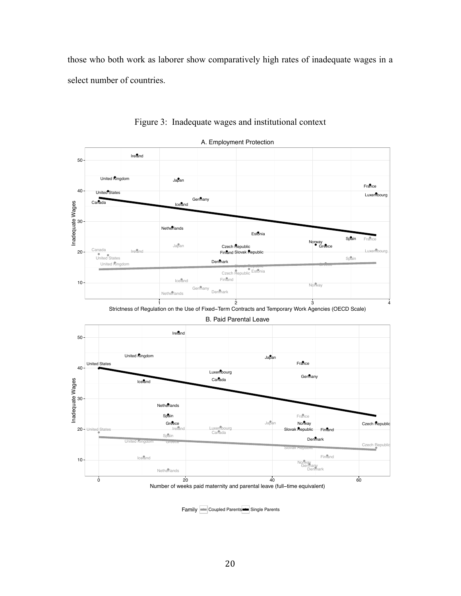those who both work as laborer show comparatively high rates of inadequate wages in a select number of countries.



Figure 3: Inadequate wages and institutional context

Family **a** Coupled Parents **a** Single Parents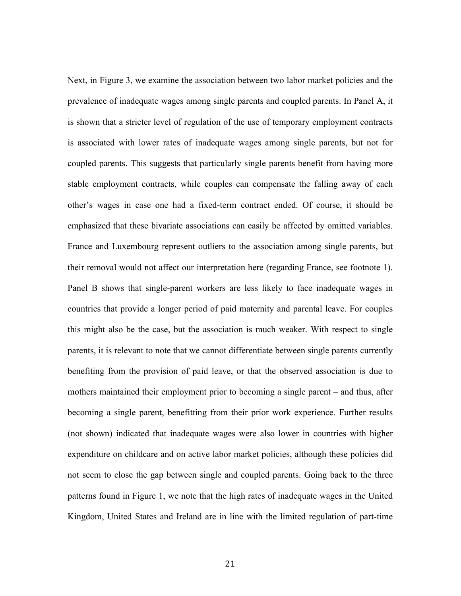Next, in Figure 3, we examine the association between two labor market policies and the prevalence of inadequate wages among single parents and coupled parents. In Panel A, it is shown that a stricter level of regulation of the use of temporary employment contracts is associated with lower rates of inadequate wages among single parents, but not for coupled parents. This suggests that particularly single parents benefit from having more stable employment contracts, while couples can compensate the falling away of each other's wages in case one had a fixed-term contract ended. Of course, it should be emphasized that these bivariate associations can easily be affected by omitted variables. France and Luxembourg represent outliers to the association among single parents, but their removal would not affect our interpretation here (regarding France, see footnote 1). Panel B shows that single-parent workers are less likely to face inadequate wages in countries that provide a longer period of paid maternity and parental leave. For couples this might also be the case, but the association is much weaker. With respect to single parents, it is relevant to note that we cannot differentiate between single parents currently benefiting from the provision of paid leave, or that the observed association is due to mothers maintained their employment prior to becoming a single parent – and thus, after becoming a single parent, benefitting from their prior work experience. Further results (not shown) indicated that inadequate wages were also lower in countries with higher expenditure on childcare and on active labor market policies, although these policies did not seem to close the gap between single and coupled parents. Going back to the three patterns found in Figure 1, we note that the high rates of inadequate wages in the United Kingdom, United States and Ireland are in line with the limited regulation of part-time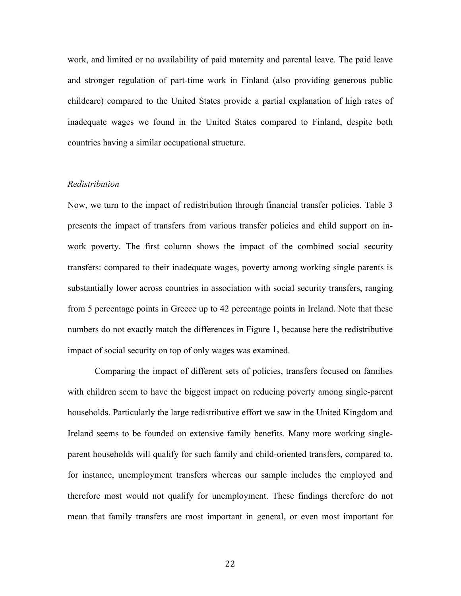work, and limited or no availability of paid maternity and parental leave. The paid leave and stronger regulation of part-time work in Finland (also providing generous public childcare) compared to the United States provide a partial explanation of high rates of inadequate wages we found in the United States compared to Finland, despite both countries having a similar occupational structure.

#### *Redistribution*

Now, we turn to the impact of redistribution through financial transfer policies. Table 3 presents the impact of transfers from various transfer policies and child support on inwork poverty. The first column shows the impact of the combined social security transfers: compared to their inadequate wages, poverty among working single parents is substantially lower across countries in association with social security transfers, ranging from 5 percentage points in Greece up to 42 percentage points in Ireland. Note that these numbers do not exactly match the differences in Figure 1, because here the redistributive impact of social security on top of only wages was examined.

Comparing the impact of different sets of policies, transfers focused on families with children seem to have the biggest impact on reducing poverty among single-parent households. Particularly the large redistributive effort we saw in the United Kingdom and Ireland seems to be founded on extensive family benefits. Many more working singleparent households will qualify for such family and child-oriented transfers, compared to, for instance, unemployment transfers whereas our sample includes the employed and therefore most would not qualify for unemployment. These findings therefore do not mean that family transfers are most important in general, or even most important for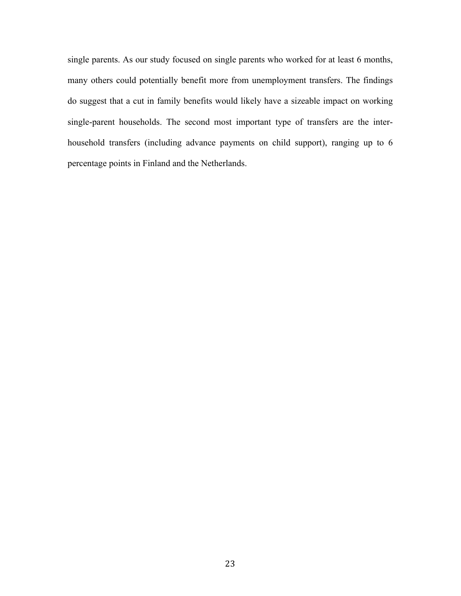single parents. As our study focused on single parents who worked for at least 6 months, many others could potentially benefit more from unemployment transfers. The findings do suggest that a cut in family benefits would likely have a sizeable impact on working single-parent households. The second most important type of transfers are the interhousehold transfers (including advance payments on child support), ranging up to 6 percentage points in Finland and the Netherlands.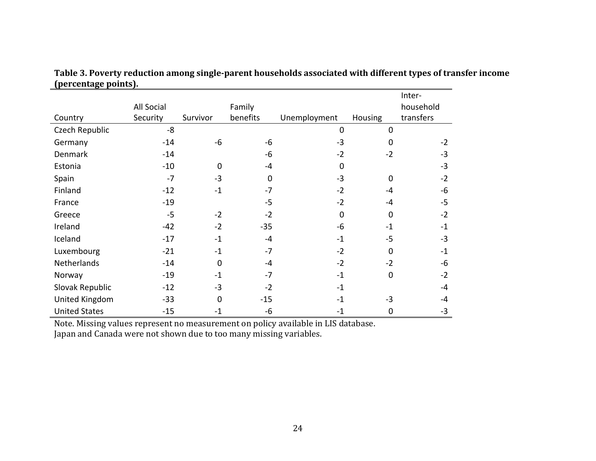|                      |            |          |             |              |                | Inter-    |
|----------------------|------------|----------|-------------|--------------|----------------|-----------|
|                      | All Social |          | Family      |              |                | household |
| Country              | Security   | Survivor | benefits    | Unemployment | <b>Housing</b> | transfers |
| Czech Republic       | -8         |          |             | $\mathbf 0$  | $\mathbf 0$    |           |
| Germany              | $-14$      | $-6$     | $-6$        | $-3$         | $\Omega$       | $-2$      |
| Denmark              | $-14$      |          | -6          | $-2$         | $-2$           | $-3$      |
| Estonia              | $-10$      | $\Omega$ | $-4$        | $\mathbf 0$  |                | $-3$      |
| Spain                | $-7$       | $-3$     | $\mathbf 0$ | $-3$         | $\Omega$       | $-2$      |
| Finland              | $-12$      | $-1$     | $-7$        | $-2$         | $-4$           | $-6$      |
| France               | $-19$      |          | $-5$        | $-2$         | $-4$           | $-5$      |
| Greece               | $-5$       | $-2$     | $-2$        | $\mathbf 0$  | $\Omega$       | $-2$      |
| Ireland              | $-42$      | $-2$     | $-35$       | $-6$         | $-1$           | $-1$      |
| Iceland              | $-17$      | $-1$     | $-4$        | $-1$         | $-5$           | $-3$      |
| Luxembourg           | $-21$      | $-1$     | $-7$        | $-2$         | $\Omega$       | $-1$      |
| Netherlands          | $-14$      | $\Omega$ | $-4$        | $-2$         | $-2$           | $-6$      |
| Norway               | $-19$      | $-1$     | $-7$        | $-1$         | $\Omega$       | $-2$      |
| Slovak Republic      | $-12$      | $-3$     | $-2$        | $-1$         |                | $-4$      |
| United Kingdom       | $-33$      | $\Omega$ | $-15$       | $-1$         | $-3$           | -4        |
| <b>United States</b> | $-15$      | $-1$     | -6          | $-1$         | 0              | $-3$      |

Table 3. Poverty reduction among single-parent households associated with different types of transfer income **(percentage points).** 

Note. Missing values represent no measurement on policy available in LIS database.

Japan and Canada were not shown due to too many missing variables.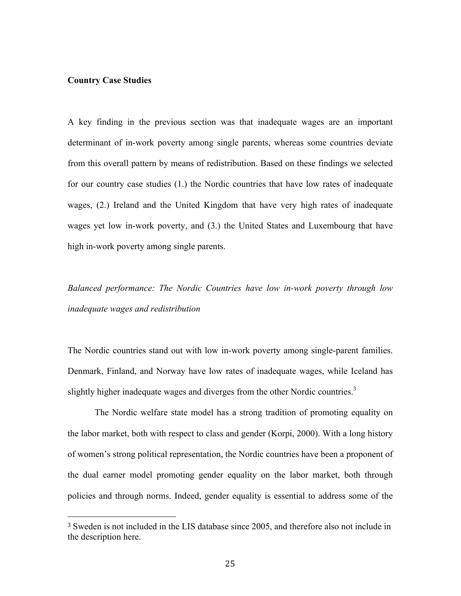#### **Country Case Studies**

 

A key finding in the previous section was that inadequate wages are an important determinant of in-work poverty among single parents, whereas some countries deviate from this overall pattern by means of redistribution. Based on these findings we selected for our country case studies (1.) the Nordic countries that have low rates of inadequate wages, (2.) Ireland and the United Kingdom that have very high rates of inadequate wages yet low in-work poverty, and (3.) the United States and Luxembourg that have high in-work poverty among single parents.

*Balanced performance: The Nordic Countries have low in-work poverty through low inadequate wages and redistribution*

The Nordic countries stand out with low in-work poverty among single-parent families. Denmark, Finland, and Norway have low rates of inadequate wages, while Iceland has slightly higher inadequate wages and diverges from the other Nordic countries.<sup>3</sup>

The Nordic welfare state model has a strong tradition of promoting equality on the labor market, both with respect to class and gender (Korpi, 2000). With a long history of women's strong political representation, the Nordic countries have been a proponent of the dual earner model promoting gender equality on the labor market, both through policies and through norms. Indeed, gender equality is essential to address some of the

<sup>3</sup> Sweden is not included in the LIS database since 2005, and therefore also not include in the description here.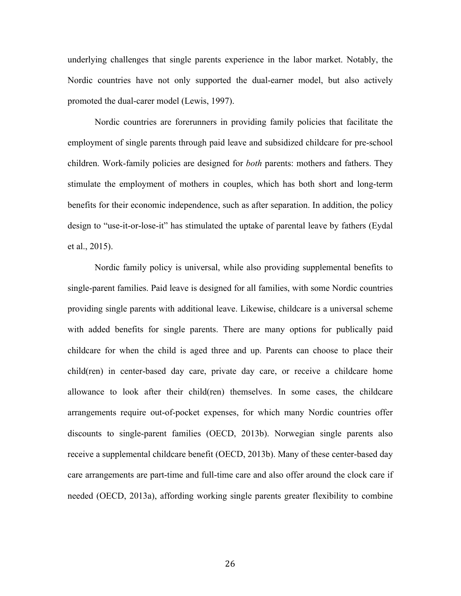underlying challenges that single parents experience in the labor market. Notably, the Nordic countries have not only supported the dual-earner model, but also actively promoted the dual-carer model (Lewis, 1997).

Nordic countries are forerunners in providing family policies that facilitate the employment of single parents through paid leave and subsidized childcare for pre-school children. Work-family policies are designed for *both* parents: mothers and fathers. They stimulate the employment of mothers in couples, which has both short and long-term benefits for their economic independence, such as after separation. In addition, the policy design to "use-it-or-lose-it" has stimulated the uptake of parental leave by fathers (Eydal et al., 2015).

Nordic family policy is universal, while also providing supplemental benefits to single-parent families. Paid leave is designed for all families, with some Nordic countries providing single parents with additional leave. Likewise, childcare is a universal scheme with added benefits for single parents. There are many options for publically paid childcare for when the child is aged three and up. Parents can choose to place their child(ren) in center-based day care, private day care, or receive a childcare home allowance to look after their child(ren) themselves. In some cases, the childcare arrangements require out-of-pocket expenses, for which many Nordic countries offer discounts to single-parent families (OECD, 2013b). Norwegian single parents also receive a supplemental childcare benefit (OECD, 2013b). Many of these center-based day care arrangements are part-time and full-time care and also offer around the clock care if needed (OECD, 2013a), affording working single parents greater flexibility to combine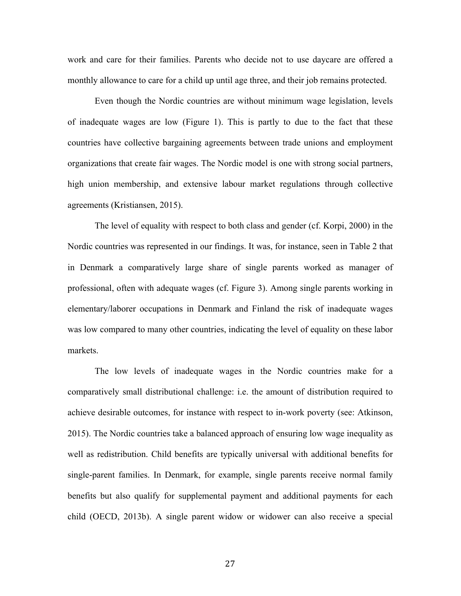work and care for their families. Parents who decide not to use daycare are offered a monthly allowance to care for a child up until age three, and their job remains protected.

Even though the Nordic countries are without minimum wage legislation, levels of inadequate wages are low (Figure 1). This is partly to due to the fact that these countries have collective bargaining agreements between trade unions and employment organizations that create fair wages. The Nordic model is one with strong social partners, high union membership, and extensive labour market regulations through collective agreements (Kristiansen, 2015).

The level of equality with respect to both class and gender (cf. Korpi, 2000) in the Nordic countries was represented in our findings. It was, for instance, seen in Table 2 that in Denmark a comparatively large share of single parents worked as manager of professional, often with adequate wages (cf. Figure 3). Among single parents working in elementary/laborer occupations in Denmark and Finland the risk of inadequate wages was low compared to many other countries, indicating the level of equality on these labor markets.

The low levels of inadequate wages in the Nordic countries make for a comparatively small distributional challenge: i.e. the amount of distribution required to achieve desirable outcomes, for instance with respect to in-work poverty (see: Atkinson, 2015). The Nordic countries take a balanced approach of ensuring low wage inequality as well as redistribution. Child benefits are typically universal with additional benefits for single-parent families. In Denmark, for example, single parents receive normal family benefits but also qualify for supplemental payment and additional payments for each child (OECD, 2013b). A single parent widow or widower can also receive a special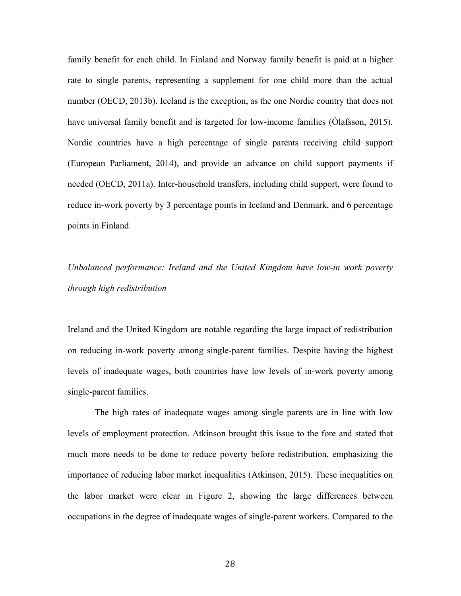family benefit for each child. In Finland and Norway family benefit is paid at a higher rate to single parents, representing a supplement for one child more than the actual number (OECD, 2013b). Iceland is the exception, as the one Nordic country that does not have universal family benefit and is targeted for low-income families (Ólafsson, 2015). Nordic countries have a high percentage of single parents receiving child support (European Parliament, 2014), and provide an advance on child support payments if needed (OECD, 2011a). Inter-household transfers, including child support, were found to reduce in-work poverty by 3 percentage points in Iceland and Denmark, and 6 percentage points in Finland.

## *Unbalanced performance: Ireland and the United Kingdom have low-in work poverty through high redistribution*

Ireland and the United Kingdom are notable regarding the large impact of redistribution on reducing in-work poverty among single-parent families. Despite having the highest levels of inadequate wages, both countries have low levels of in-work poverty among single-parent families.

The high rates of inadequate wages among single parents are in line with low levels of employment protection. Atkinson brought this issue to the fore and stated that much more needs to be done to reduce poverty before redistribution, emphasizing the importance of reducing labor market inequalities (Atkinson, 2015). These inequalities on the labor market were clear in Figure 2, showing the large differences between occupations in the degree of inadequate wages of single-parent workers. Compared to the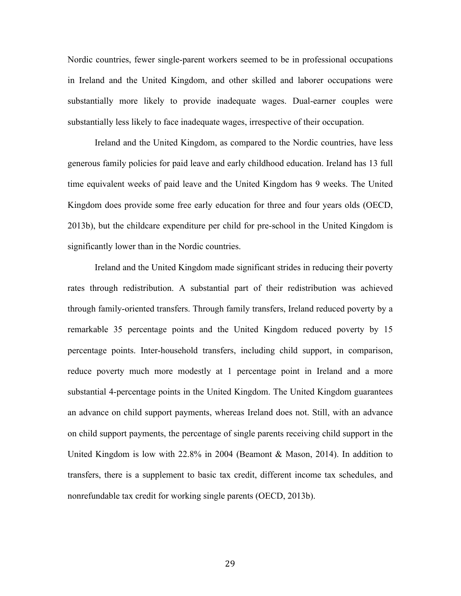Nordic countries, fewer single-parent workers seemed to be in professional occupations in Ireland and the United Kingdom, and other skilled and laborer occupations were substantially more likely to provide inadequate wages. Dual-earner couples were substantially less likely to face inadequate wages, irrespective of their occupation.

Ireland and the United Kingdom, as compared to the Nordic countries, have less generous family policies for paid leave and early childhood education. Ireland has 13 full time equivalent weeks of paid leave and the United Kingdom has 9 weeks. The United Kingdom does provide some free early education for three and four years olds (OECD, 2013b), but the childcare expenditure per child for pre-school in the United Kingdom is significantly lower than in the Nordic countries.

Ireland and the United Kingdom made significant strides in reducing their poverty rates through redistribution. A substantial part of their redistribution was achieved through family-oriented transfers. Through family transfers, Ireland reduced poverty by a remarkable 35 percentage points and the United Kingdom reduced poverty by 15 percentage points. Inter-household transfers, including child support, in comparison, reduce poverty much more modestly at 1 percentage point in Ireland and a more substantial 4-percentage points in the United Kingdom. The United Kingdom guarantees an advance on child support payments, whereas Ireland does not. Still, with an advance on child support payments, the percentage of single parents receiving child support in the United Kingdom is low with 22.8% in 2004 (Beamont & Mason, 2014). In addition to transfers, there is a supplement to basic tax credit, different income tax schedules, and nonrefundable tax credit for working single parents (OECD, 2013b).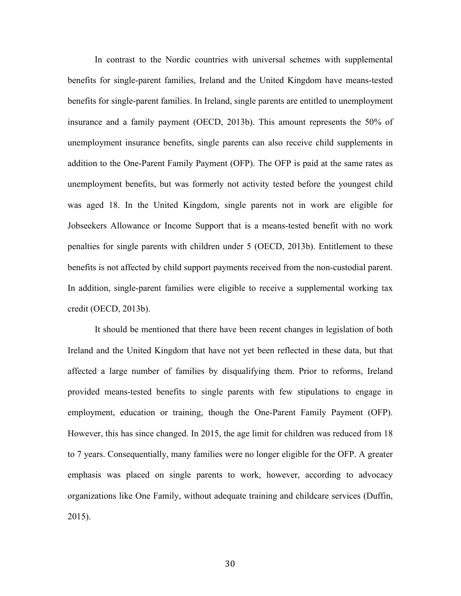In contrast to the Nordic countries with universal schemes with supplemental benefits for single-parent families, Ireland and the United Kingdom have means-tested benefits for single-parent families. In Ireland, single parents are entitled to unemployment insurance and a family payment (OECD, 2013b). This amount represents the 50% of unemployment insurance benefits, single parents can also receive child supplements in addition to the One-Parent Family Payment (OFP). The OFP is paid at the same rates as unemployment benefits, but was formerly not activity tested before the youngest child was aged 18. In the United Kingdom, single parents not in work are eligible for Jobseekers Allowance or Income Support that is a means-tested benefit with no work penalties for single parents with children under 5 (OECD, 2013b). Entitlement to these benefits is not affected by child support payments received from the non-custodial parent. In addition, single-parent families were eligible to receive a supplemental working tax credit (OECD, 2013b).

It should be mentioned that there have been recent changes in legislation of both Ireland and the United Kingdom that have not yet been reflected in these data, but that affected a large number of families by disqualifying them. Prior to reforms, Ireland provided means-tested benefits to single parents with few stipulations to engage in employment, education or training, though the One-Parent Family Payment (OFP). However, this has since changed. In 2015, the age limit for children was reduced from 18 to 7 years. Consequentially, many families were no longer eligible for the OFP. A greater emphasis was placed on single parents to work, however, according to advocacy organizations like One Family, without adequate training and childcare services (Duffin, 2015).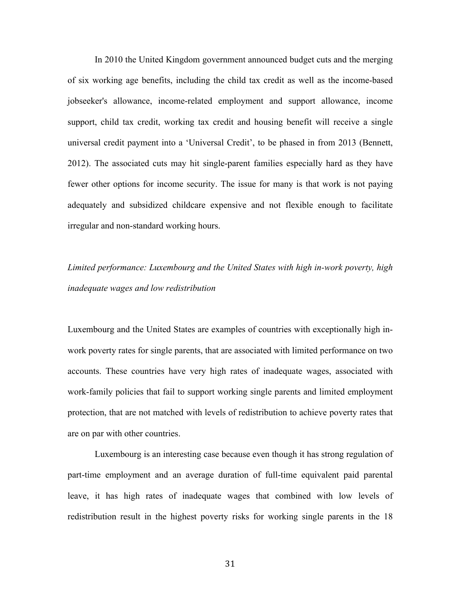In 2010 the United Kingdom government announced budget cuts and the merging of six working age benefits, including the child tax credit as well as the income-based jobseeker's allowance, income-related employment and support allowance, income support, child tax credit, working tax credit and housing benefit will receive a single universal credit payment into a 'Universal Credit', to be phased in from 2013 (Bennett, 2012). The associated cuts may hit single-parent families especially hard as they have fewer other options for income security. The issue for many is that work is not paying adequately and subsidized childcare expensive and not flexible enough to facilitate irregular and non-standard working hours.

## *Limited performance: Luxembourg and the United States with high in-work poverty, high inadequate wages and low redistribution*

Luxembourg and the United States are examples of countries with exceptionally high inwork poverty rates for single parents, that are associated with limited performance on two accounts. These countries have very high rates of inadequate wages, associated with work-family policies that fail to support working single parents and limited employment protection, that are not matched with levels of redistribution to achieve poverty rates that are on par with other countries.

Luxembourg is an interesting case because even though it has strong regulation of part-time employment and an average duration of full-time equivalent paid parental leave, it has high rates of inadequate wages that combined with low levels of redistribution result in the highest poverty risks for working single parents in the 18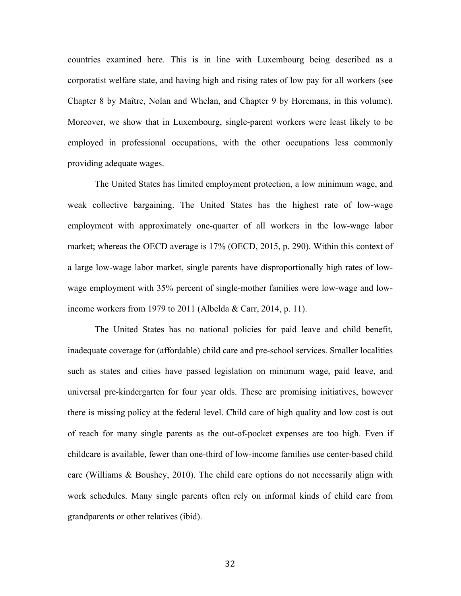countries examined here. This is in line with Luxembourg being described as a corporatist welfare state, and having high and rising rates of low pay for all workers (see Chapter 8 by Maître, Nolan and Whelan, and Chapter 9 by Horemans, in this volume). Moreover, we show that in Luxembourg, single-parent workers were least likely to be employed in professional occupations, with the other occupations less commonly providing adequate wages.

The United States has limited employment protection, a low minimum wage, and weak collective bargaining. The United States has the highest rate of low-wage employment with approximately one-quarter of all workers in the low-wage labor market; whereas the OECD average is 17% (OECD, 2015, p. 290). Within this context of a large low-wage labor market, single parents have disproportionally high rates of lowwage employment with 35% percent of single-mother families were low-wage and lowincome workers from 1979 to 2011 (Albelda & Carr, 2014, p. 11).

The United States has no national policies for paid leave and child benefit, inadequate coverage for (affordable) child care and pre-school services. Smaller localities such as states and cities have passed legislation on minimum wage, paid leave, and universal pre-kindergarten for four year olds. These are promising initiatives, however there is missing policy at the federal level. Child care of high quality and low cost is out of reach for many single parents as the out-of-pocket expenses are too high. Even if childcare is available, fewer than one-third of low-income families use center-based child care (Williams & Boushey, 2010). The child care options do not necessarily align with work schedules. Many single parents often rely on informal kinds of child care from grandparents or other relatives (ibid).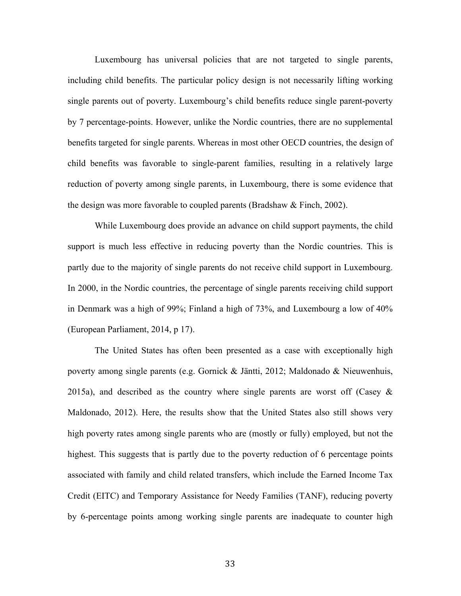Luxembourg has universal policies that are not targeted to single parents, including child benefits. The particular policy design is not necessarily lifting working single parents out of poverty. Luxembourg's child benefits reduce single parent-poverty by 7 percentage-points. However, unlike the Nordic countries, there are no supplemental benefits targeted for single parents. Whereas in most other OECD countries, the design of child benefits was favorable to single-parent families, resulting in a relatively large reduction of poverty among single parents, in Luxembourg, there is some evidence that the design was more favorable to coupled parents (Bradshaw & Finch, 2002).

While Luxembourg does provide an advance on child support payments, the child support is much less effective in reducing poverty than the Nordic countries. This is partly due to the majority of single parents do not receive child support in Luxembourg. In 2000, in the Nordic countries, the percentage of single parents receiving child support in Denmark was a high of 99%; Finland a high of 73%, and Luxembourg a low of 40% (European Parliament, 2014, p 17).

The United States has often been presented as a case with exceptionally high poverty among single parents (e.g. Gornick & Jäntti, 2012; Maldonado & Nieuwenhuis, 2015a), and described as the country where single parents are worst off (Casey  $\&$ Maldonado, 2012). Here, the results show that the United States also still shows very high poverty rates among single parents who are (mostly or fully) employed, but not the highest. This suggests that is partly due to the poverty reduction of 6 percentage points associated with family and child related transfers, which include the Earned Income Tax Credit (EITC) and Temporary Assistance for Needy Families (TANF), reducing poverty by 6-percentage points among working single parents are inadequate to counter high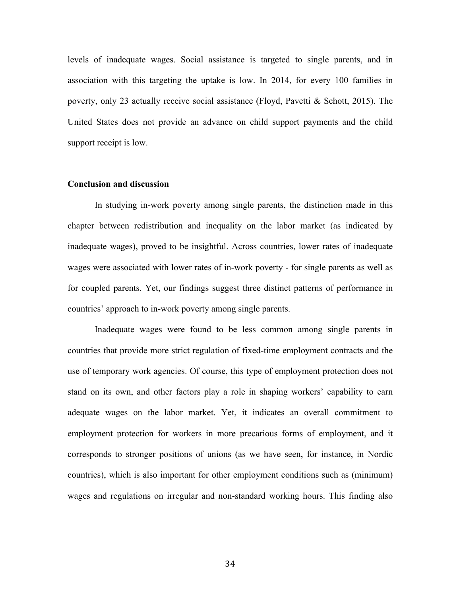levels of inadequate wages. Social assistance is targeted to single parents, and in association with this targeting the uptake is low. In 2014, for every 100 families in poverty, only 23 actually receive social assistance (Floyd, Pavetti & Schott, 2015). The United States does not provide an advance on child support payments and the child support receipt is low.

#### **Conclusion and discussion**

In studying in-work poverty among single parents, the distinction made in this chapter between redistribution and inequality on the labor market (as indicated by inadequate wages), proved to be insightful. Across countries, lower rates of inadequate wages were associated with lower rates of in-work poverty - for single parents as well as for coupled parents. Yet, our findings suggest three distinct patterns of performance in countries' approach to in-work poverty among single parents.

Inadequate wages were found to be less common among single parents in countries that provide more strict regulation of fixed-time employment contracts and the use of temporary work agencies. Of course, this type of employment protection does not stand on its own, and other factors play a role in shaping workers' capability to earn adequate wages on the labor market. Yet, it indicates an overall commitment to employment protection for workers in more precarious forms of employment, and it corresponds to stronger positions of unions (as we have seen, for instance, in Nordic countries), which is also important for other employment conditions such as (minimum) wages and regulations on irregular and non-standard working hours. This finding also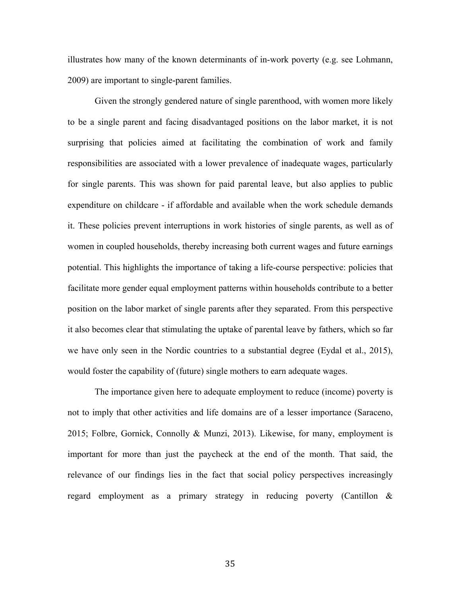illustrates how many of the known determinants of in-work poverty (e.g. see Lohmann, 2009) are important to single-parent families.

Given the strongly gendered nature of single parenthood, with women more likely to be a single parent and facing disadvantaged positions on the labor market, it is not surprising that policies aimed at facilitating the combination of work and family responsibilities are associated with a lower prevalence of inadequate wages, particularly for single parents. This was shown for paid parental leave, but also applies to public expenditure on childcare - if affordable and available when the work schedule demands it. These policies prevent interruptions in work histories of single parents, as well as of women in coupled households, thereby increasing both current wages and future earnings potential. This highlights the importance of taking a life-course perspective: policies that facilitate more gender equal employment patterns within households contribute to a better position on the labor market of single parents after they separated. From this perspective it also becomes clear that stimulating the uptake of parental leave by fathers, which so far we have only seen in the Nordic countries to a substantial degree (Eydal et al., 2015), would foster the capability of (future) single mothers to earn adequate wages.

The importance given here to adequate employment to reduce (income) poverty is not to imply that other activities and life domains are of a lesser importance (Saraceno, 2015; Folbre, Gornick, Connolly & Munzi, 2013). Likewise, for many, employment is important for more than just the paycheck at the end of the month. That said, the relevance of our findings lies in the fact that social policy perspectives increasingly regard employment as a primary strategy in reducing poverty (Cantillon &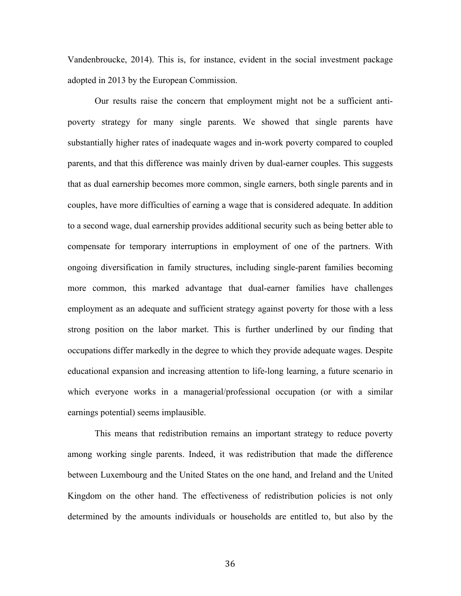Vandenbroucke, 2014). This is, for instance, evident in the social investment package adopted in 2013 by the European Commission.

Our results raise the concern that employment might not be a sufficient antipoverty strategy for many single parents. We showed that single parents have substantially higher rates of inadequate wages and in-work poverty compared to coupled parents, and that this difference was mainly driven by dual-earner couples. This suggests that as dual earnership becomes more common, single earners, both single parents and in couples, have more difficulties of earning a wage that is considered adequate. In addition to a second wage, dual earnership provides additional security such as being better able to compensate for temporary interruptions in employment of one of the partners. With ongoing diversification in family structures, including single-parent families becoming more common, this marked advantage that dual-earner families have challenges employment as an adequate and sufficient strategy against poverty for those with a less strong position on the labor market. This is further underlined by our finding that occupations differ markedly in the degree to which they provide adequate wages. Despite educational expansion and increasing attention to life-long learning, a future scenario in which everyone works in a managerial/professional occupation (or with a similar earnings potential) seems implausible.

This means that redistribution remains an important strategy to reduce poverty among working single parents. Indeed, it was redistribution that made the difference between Luxembourg and the United States on the one hand, and Ireland and the United Kingdom on the other hand. The effectiveness of redistribution policies is not only determined by the amounts individuals or households are entitled to, but also by the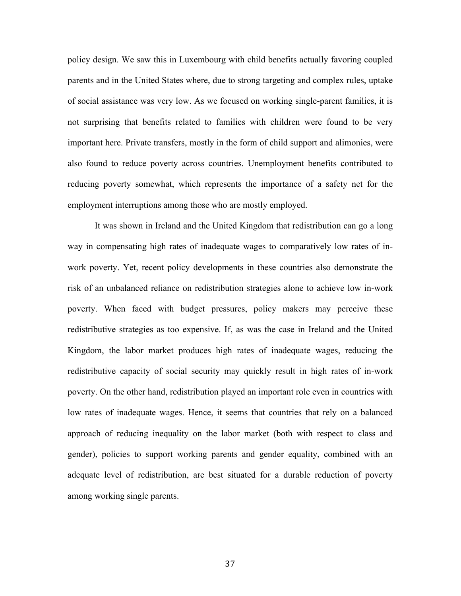policy design. We saw this in Luxembourg with child benefits actually favoring coupled parents and in the United States where, due to strong targeting and complex rules, uptake of social assistance was very low. As we focused on working single-parent families, it is not surprising that benefits related to families with children were found to be very important here. Private transfers, mostly in the form of child support and alimonies, were also found to reduce poverty across countries. Unemployment benefits contributed to reducing poverty somewhat, which represents the importance of a safety net for the employment interruptions among those who are mostly employed.

It was shown in Ireland and the United Kingdom that redistribution can go a long way in compensating high rates of inadequate wages to comparatively low rates of inwork poverty. Yet, recent policy developments in these countries also demonstrate the risk of an unbalanced reliance on redistribution strategies alone to achieve low in-work poverty. When faced with budget pressures, policy makers may perceive these redistributive strategies as too expensive. If, as was the case in Ireland and the United Kingdom, the labor market produces high rates of inadequate wages, reducing the redistributive capacity of social security may quickly result in high rates of in-work poverty. On the other hand, redistribution played an important role even in countries with low rates of inadequate wages. Hence, it seems that countries that rely on a balanced approach of reducing inequality on the labor market (both with respect to class and gender), policies to support working parents and gender equality, combined with an adequate level of redistribution, are best situated for a durable reduction of poverty among working single parents.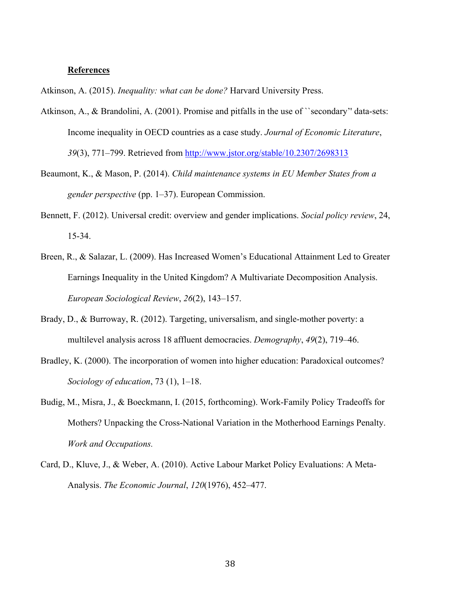#### **References**

Atkinson, A. (2015). *Inequality: what can be done?* Harvard University Press.

- Atkinson, A., & Brandolini, A. (2001). Promise and pitfalls in the use of ``secondary'' data-sets: Income inequality in OECD countries as a case study. *Journal of Economic Literature*, *39*(3), 771–799. Retrieved from http://www.jstor.org/stable/10.2307/2698313
- Beaumont, K., & Mason, P. (2014). *Child maintenance systems in EU Member States from a gender perspective* (pp. 1–37). European Commission.
- Bennett, F. (2012). Universal credit: overview and gender implications. *Social policy review*, 24, 15-34.
- Breen, R., & Salazar, L. (2009). Has Increased Women's Educational Attainment Led to Greater Earnings Inequality in the United Kingdom? A Multivariate Decomposition Analysis. *European Sociological Review*, *26*(2), 143–157.
- Brady, D., & Burroway, R. (2012). Targeting, universalism, and single-mother poverty: a multilevel analysis across 18 affluent democracies. *Demography*, *49*(2), 719–46.
- Bradley, K. (2000). The incorporation of women into higher education: Paradoxical outcomes? *Sociology of education*, 73 (1), 1–18.
- Budig, M., Misra, J., & Boeckmann, I. (2015, forthcoming). Work-Family Policy Tradeoffs for Mothers? Unpacking the Cross-National Variation in the Motherhood Earnings Penalty. *Work and Occupations.*
- Card, D., Kluve, J., & Weber, A. (2010). Active Labour Market Policy Evaluations: A Meta-Analysis. *The Economic Journal*, *120*(1976), 452–477.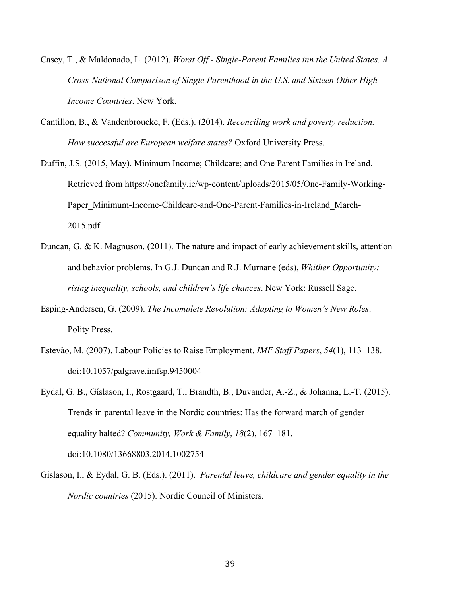- Casey, T., & Maldonado, L. (2012). *Worst Off - Single-Parent Families inn the United States. A Cross-National Comparison of Single Parenthood in the U.S. and Sixteen Other High-Income Countries*. New York.
- Cantillon, B., & Vandenbroucke, F. (Eds.). (2014). *Reconciling work and poverty reduction. How successful are European welfare states?* Oxford University Press.
- Duffin, J.S. (2015, May). Minimum Income; Childcare; and One Parent Families in Ireland. Retrieved from https://onefamily.ie/wp-content/uploads/2015/05/One-Family-Working-Paper\_Minimum-Income-Childcare-and-One-Parent-Families-in-Ireland\_March-2015.pdf
- Duncan, G. & K. Magnuson. (2011). The nature and impact of early achievement skills, attention and behavior problems. In G.J. Duncan and R.J. Murnane (eds), *Whither Opportunity: rising inequality, schools, and children's life chances*. New York: Russell Sage.
- Esping-Andersen, G. (2009). *The Incomplete Revolution: Adapting to Women's New Roles*. Polity Press.
- Estevão, M. (2007). Labour Policies to Raise Employment. *IMF Staff Papers*, *54*(1), 113–138. doi:10.1057/palgrave.imfsp.9450004
- Eydal, G. B., Gíslason, I., Rostgaard, T., Brandth, B., Duvander, A.-Z., & Johanna, L.-T. (2015). Trends in parental leave in the Nordic countries: Has the forward march of gender equality halted? *Community, Work & Family*, *18*(2), 167–181. doi:10.1080/13668803.2014.1002754
- Gíslason, I., & Eydal, G. B. (Eds.). (2011). *Parental leave, childcare and gender equality in the Nordic countries* (2015). Nordic Council of Ministers.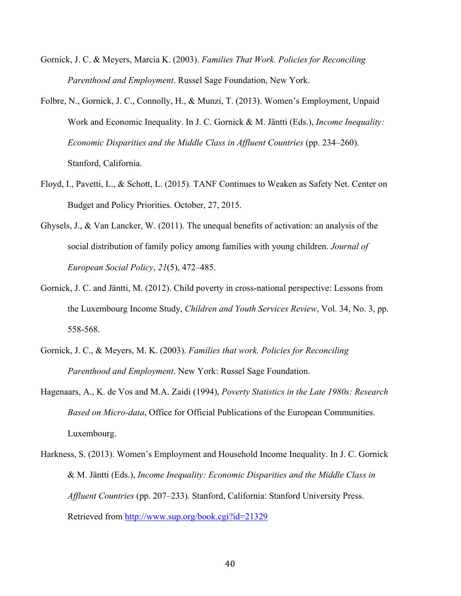- Gornick, J. C. & Meyers, Marcia K. (2003). *Families That Work. Policies for Reconciling Parenthood and Employment*. Russel Sage Foundation, New York.
- Folbre, N., Gornick, J. C., Connolly, H., & Munzi, T. (2013). Women's Employment, Unpaid Work and Economic Inequality. In J. C. Gornick & M. Jäntti (Eds.), *Income Inequality: Economic Disparities and the Middle Class in Affluent Countries* (pp. 234–260). Stanford, California.
- Floyd, I., Pavetti, L., & Schott, L. (2015). TANF Continues to Weaken as Safety Net. Center on Budget and Policy Priorities. October, 27, 2015.
- Ghysels, J., & Van Lancker, W. (2011). The unequal benefits of activation: an analysis of the social distribution of family policy among families with young children. *Journal of European Social Policy*, *21*(5), 472–485.
- Gornick, J. C. and Jäntti, M. (2012). Child poverty in cross-national perspective: Lessons from the Luxembourg Income Study, *Children and Youth Services Review*, Vol. 34, No. 3, pp. 558-568.
- Gornick, J. C., & Meyers, M. K. (2003). *Families that work. Policies for Reconciling Parenthood and Employment*. New York: Russel Sage Foundation.
- Hagenaars, A., K. de Vos and M.A. Zaidi (1994), *Poverty Statistics in the Late 1980s: Research Based on Micro-data*, Office for Official Publications of the European Communities. Luxembourg.
- Harkness, S. (2013). Women's Employment and Household Income Inequality. In J. C. Gornick & M. Jäntti (Eds.), *Income Inequality: Economic Disparities and the Middle Class in Affluent Countries* (pp. 207–233). Stanford, California: Stanford University Press. Retrieved from http://www.sup.org/book.cgi?id=21329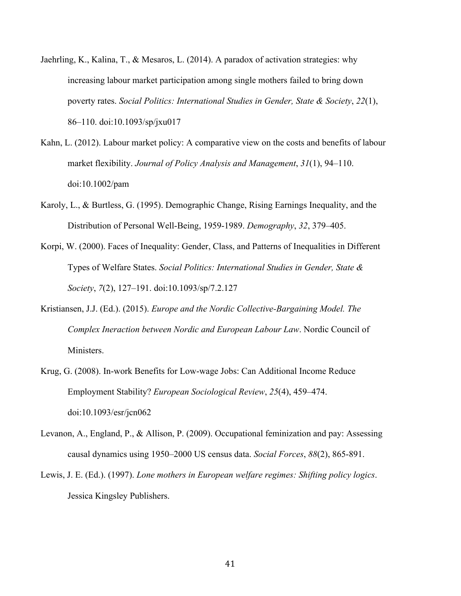- Jaehrling, K., Kalina, T., & Mesaros, L. (2014). A paradox of activation strategies: why increasing labour market participation among single mothers failed to bring down poverty rates. *Social Politics: International Studies in Gender, State & Society*, *22*(1), 86–110. doi:10.1093/sp/jxu017
- Kahn, L. (2012). Labour market policy: A comparative view on the costs and benefits of labour market flexibility. *Journal of Policy Analysis and Management*, *31*(1), 94–110. doi:10.1002/pam
- Karoly, L., & Burtless, G. (1995). Demographic Change, Rising Earnings Inequality, and the Distribution of Personal Well-Being, 1959-1989. *Demography*, *32*, 379–405.
- Korpi, W. (2000). Faces of Inequality: Gender, Class, and Patterns of Inequalities in Different Types of Welfare States. *Social Politics: International Studies in Gender, State & Society*, *7*(2), 127–191. doi:10.1093/sp/7.2.127
- Kristiansen, J.J. (Ed.). (2015). *Europe and the Nordic Collective-Bargaining Model. The Complex Ineraction between Nordic and European Labour Law*. Nordic Council of Ministers.
- Krug, G. (2008). In-work Benefits for Low-wage Jobs: Can Additional Income Reduce Employment Stability? *European Sociological Review*, *25*(4), 459–474. doi:10.1093/esr/jcn062
- Levanon, A., England, P., & Allison, P. (2009). Occupational feminization and pay: Assessing causal dynamics using 1950–2000 US census data. *Social Forces*, *88*(2), 865-891.
- Lewis, J. E. (Ed.). (1997). *Lone mothers in European welfare regimes: Shifting policy logics*. Jessica Kingsley Publishers.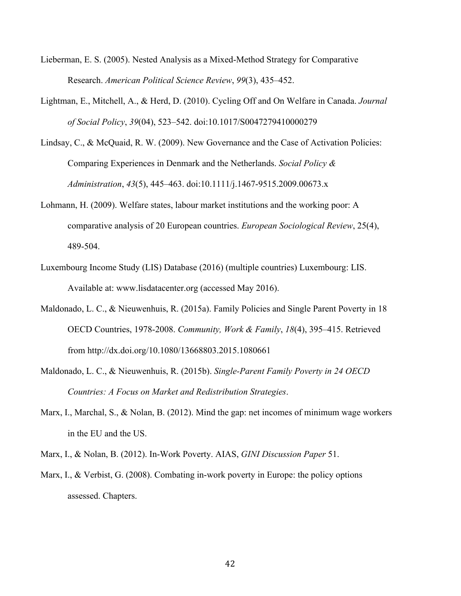- Lieberman, E. S. (2005). Nested Analysis as a Mixed-Method Strategy for Comparative Research. *American Political Science Review*, *99*(3), 435–452.
- Lightman, E., Mitchell, A., & Herd, D. (2010). Cycling Off and On Welfare in Canada. *Journal of Social Policy*, *39*(04), 523–542. doi:10.1017/S0047279410000279
- Lindsay, C., & McQuaid, R. W. (2009). New Governance and the Case of Activation Policies: Comparing Experiences in Denmark and the Netherlands. *Social Policy & Administration*, *43*(5), 445–463. doi:10.1111/j.1467-9515.2009.00673.x
- Lohmann, H. (2009). Welfare states, labour market institutions and the working poor: A comparative analysis of 20 European countries. *European Sociological Review*, 25(4), 489-504.
- Luxembourg Income Study (LIS) Database (2016) (multiple countries) Luxembourg: LIS. Available at: www.lisdatacenter.org (accessed May 2016).
- Maldonado, L. C., & Nieuwenhuis, R. (2015a). Family Policies and Single Parent Poverty in 18 OECD Countries, 1978-2008. *Community, Work & Family*, *18*(4), 395–415. Retrieved from http://dx.doi.org/10.1080/13668803.2015.1080661
- Maldonado, L. C., & Nieuwenhuis, R. (2015b). *Single-Parent Family Poverty in 24 OECD Countries: A Focus on Market and Redistribution Strategies*.
- Marx, I., Marchal, S., & Nolan, B. (2012). Mind the gap: net incomes of minimum wage workers in the EU and the US.
- Marx, I., & Nolan, B. (2012). In-Work Poverty. AIAS, *GINI Discussion Paper* 51.
- Marx, I., & Verbist, G. (2008). Combating in-work poverty in Europe: the policy options assessed. Chapters.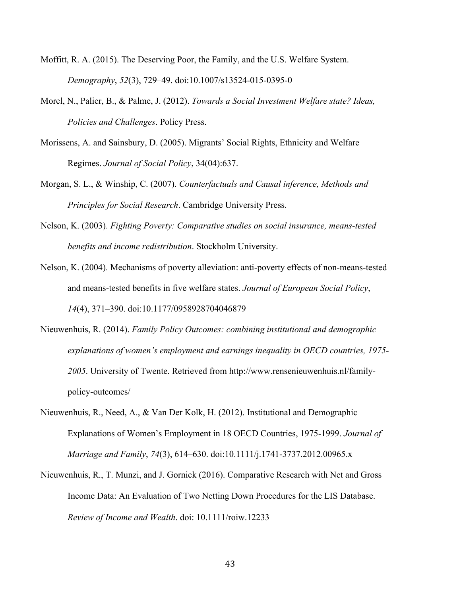- Moffitt, R. A. (2015). The Deserving Poor, the Family, and the U.S. Welfare System. *Demography*, *52*(3), 729–49. doi:10.1007/s13524-015-0395-0
- Morel, N., Palier, B., & Palme, J. (2012). *Towards a Social Investment Welfare state? Ideas, Policies and Challenges*. Policy Press.
- Morissens, A. and Sainsbury, D. (2005). Migrants' Social Rights, Ethnicity and Welfare Regimes. *Journal of Social Policy*, 34(04):637.
- Morgan, S. L., & Winship, C. (2007). *Counterfactuals and Causal inference, Methods and Principles for Social Research*. Cambridge University Press.
- Nelson, K. (2003). *Fighting Poverty: Comparative studies on social insurance, means-tested benefits and income redistribution*. Stockholm University.
- Nelson, K. (2004). Mechanisms of poverty alleviation: anti-poverty effects of non-means-tested and means-tested benefits in five welfare states. *Journal of European Social Policy*, *14*(4), 371–390. doi:10.1177/0958928704046879
- Nieuwenhuis, R. (2014). *Family Policy Outcomes: combining institutional and demographic explanations of women's employment and earnings inequality in OECD countries, 1975- 2005*. University of Twente. Retrieved from http://www.rensenieuwenhuis.nl/familypolicy-outcomes/
- Nieuwenhuis, R., Need, A., & Van Der Kolk, H. (2012). Institutional and Demographic Explanations of Women's Employment in 18 OECD Countries, 1975-1999. *Journal of Marriage and Family*, *74*(3), 614–630. doi:10.1111/j.1741-3737.2012.00965.x
- Nieuwenhuis, R., T. Munzi, and J. Gornick (2016). Comparative Research with Net and Gross Income Data: An Evaluation of Two Netting Down Procedures for the LIS Database. *Review of Income and Wealth*. doi: 10.1111/roiw.12233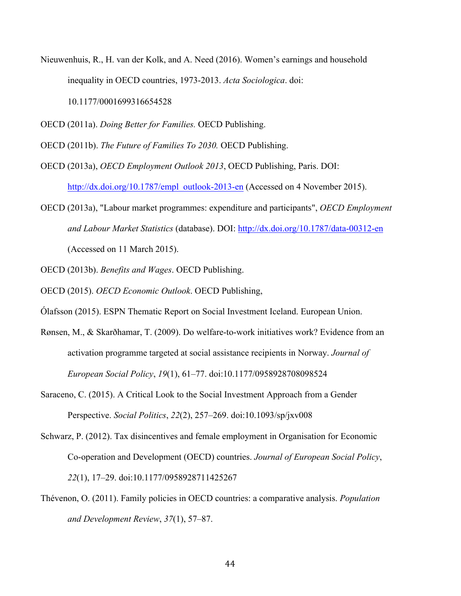- Nieuwenhuis, R., H. van der Kolk, and A. Need (2016). Women's earnings and household inequality in OECD countries, 1973-2013. *Acta Sociologica*. doi: 10.1177/0001699316654528
- OECD (2011a). *Doing Better for Families.* OECD Publishing.
- OECD (2011b). *The Future of Families To 2030.* OECD Publishing.
- OECD (2013a), *OECD Employment Outlook 2013*, OECD Publishing, Paris. DOI: http://dx.doi.org/10.1787/empl\_outlook-2013-en (Accessed on 4 November 2015).
- OECD (2013a), "Labour market programmes: expenditure and participants", *OECD Employment and Labour Market Statistics* (database). DOI: http://dx.doi.org/10.1787/data-00312-en (Accessed on 11 March 2015).
- OECD (2013b). *Benefits and Wages*. OECD Publishing.
- OECD (2015). *OECD Economic Outlook*. OECD Publishing,
- Ólafsson (2015). ESPN Thematic Report on Social Investment Iceland. European Union.
- Rønsen, M., & Skarðhamar, T. (2009). Do welfare-to-work initiatives work? Evidence from an activation programme targeted at social assistance recipients in Norway. *Journal of European Social Policy*, *19*(1), 61–77. doi:10.1177/0958928708098524
- Saraceno, C. (2015). A Critical Look to the Social Investment Approach from a Gender Perspective. *Social Politics*, *22*(2), 257–269. doi:10.1093/sp/jxv008
- Schwarz, P. (2012). Tax disincentives and female employment in Organisation for Economic Co-operation and Development (OECD) countries. *Journal of European Social Policy*, *22*(1), 17–29. doi:10.1177/0958928711425267
- Thévenon, O. (2011). Family policies in OECD countries: a comparative analysis. *Population and Development Review*, *37*(1), 57–87.